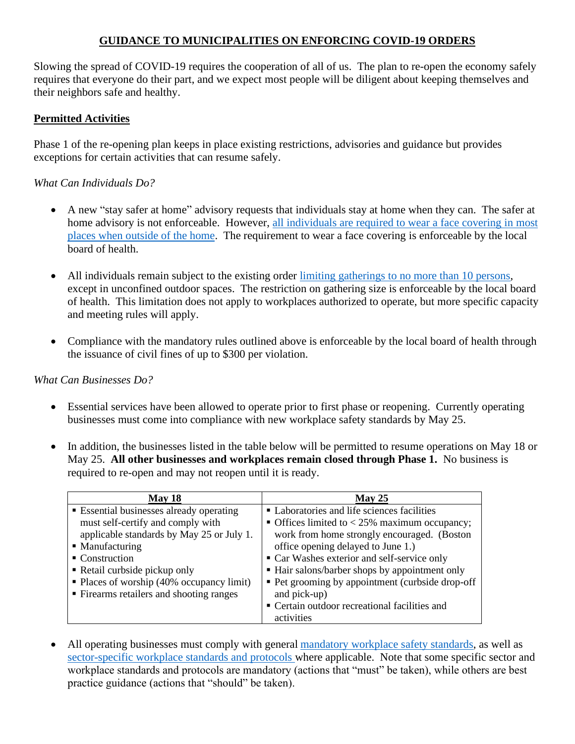# **GUIDANCE TO MUNICIPALITIES ON ENFORCING COVID-19 ORDERS**

Slowing the spread of COVID-19 requires the cooperation of all of us. The plan to re-open the economy safely requires that everyone do their part, and we expect most people will be diligent about keeping themselves and their neighbors safe and healthy.

# **Permitted Activities**

Phase 1 of the re-opening plan keeps in place existing restrictions, advisories and guidance but provides exceptions for certain activities that can resume safely.

### *What Can Individuals Do?*

- A new "stay safer at home" advisory requests that individuals stay at home when they can. The safer at home advisory is not enforceable. However, all individuals are required to wear a face covering in most places when outside of the home. The requirement to wear a face covering is enforceable by the local board of health.
- All individuals remain subject to the existing order limiting gatherings to no more than 10 persons, except in unconfined outdoor spaces. The restriction on gathering size is enforceable by the local board of health. This limitation does not apply to workplaces authorized to operate, but more specific capacity and meeting rules will apply.
- Compliance with the mandatory rules outlined above is enforceable by the local board of health through the issuance of civil fines of up to \$300 per violation.

#### *What Can Businesses Do?*

- Essential services have been allowed to operate prior to first phase or reopening. Currently operating businesses must come into compliance with new workplace safety standards by May 25.
- In addition, the businesses listed in the table below will be permitted to resume operations on May 18 or May 25. **All other businesses and workplaces remain closed through Phase 1.** No business is required to re-open and may not reopen until it is ready.

| May 18                                                 | May 25                                           |
|--------------------------------------------------------|--------------------------------------------------|
| <b>Essential businesses already operating</b>          | • Laboratories and life sciences facilities      |
| must self-certify and comply with                      | • Offices limited to $<$ 25% maximum occupancy;  |
| applicable standards by May 25 or July 1.              | work from home strongly encouraged. (Boston      |
| • Manufacturing                                        | office opening delayed to June 1.)               |
| • Construction                                         | • Car Washes exterior and self-service only      |
| • Retail curbside pickup only                          | • Hair salons/barber shops by appointment only   |
| $\blacksquare$ Places of worship (40% occupancy limit) | • Pet grooming by appointment (curbside drop-off |
| • Firearms retailers and shooting ranges               | and pick-up)                                     |
|                                                        | • Certain outdoor recreational facilities and    |
|                                                        | activities                                       |

All operating businesses must comply with general mandatory workplace safety standards, as well as sector-specific workplace standards and protocols where applicable. Note that some specific sector and workplace standards and protocols are mandatory (actions that "must" be taken), while others are best practice guidance (actions that "should" be taken).